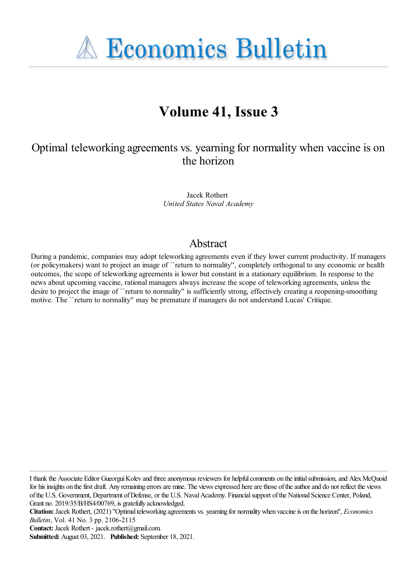**A Economics Bulletin** 

# **Volume 41, Issue 3**

# Optimal teleworking agreements vs. yearning for normality when vaccine is on the horizon

Jacek Rothert *United States Naval Academy*

# Abstract

During a pandemic, companies may adopt teleworking agreements even if they lower current productivity. If managers (or policymakers) want to project an image of ``return to normality'', completely orthogonal to any economic or health outcomes, the scope of teleworking agreements is lower but constant in a stationary equilibrium. In response to the news about upcoming vaccine, rational managers always increase the scope of teleworking agreements, unless the desire to project the image of ``return to normality'' is sufficiently strong, effectively creating a reopening-smoothing motive. The ``return to normality'' may be premature if managers do not understand Lucas' Critique.

I thank the Associate Editor GueorguiKolev and threeanonymous reviewers for helpfulcomments on theinitialsubmission,and AlexMcQuoid for his insights on the first draft. Any remaining errors are mine. The views expressed here are those of the author and do not reflect the views of the U.S. Government, Department of Defense, or the U.S. Naval Academy. Financial support of the National Science Center, Poland, Grant no. 2019/35/B/HS4/00769, is gratefully acknowledged.

Citation: Jacek Rothert, (2021) "Optimal teleworking agreements vs. yearning for normality when vaccine is on the horizon", *Economics Bulletin*, Vol. 41 No. 3 pp. 2106-2115

**Contact:** Jacek Rothert - jacek.rothert@gmail.com.

**Submitted:** August 03, 2021. **Published:** September 18, 2021.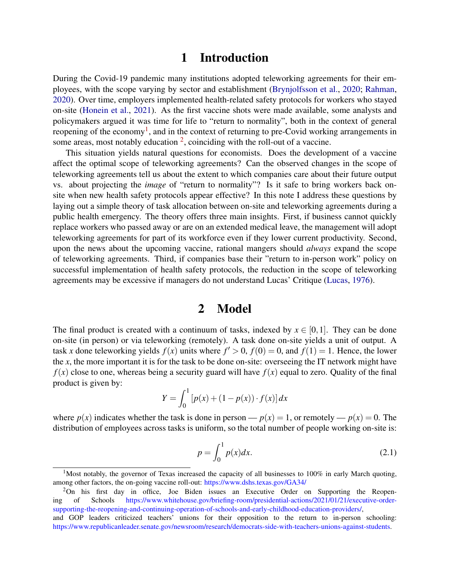# 1 Introduction

During the Covid-19 pandemic many institutions adopted teleworking agreements for their employees, with the scope varying by sector and establishment [\(Brynjolfsson et al.,](#page-7-0) [2020;](#page-7-0) [Rahman,](#page-8-0) [2020\)](#page-8-0). Over time, employers implemented health-related safety protocols for workers who stayed on-site [\(Honein et al.,](#page-8-1) [2021\)](#page-8-1). As the first vaccine shots were made available, some analysts and policymakers argued it was time for life to "return to normality", both in the context of general reopening of the economy<sup>[1](#page-1-0)</sup>, and in the context of returning to pre-Covid working arrangements in some areas, most notably education  $2$ , coinciding with the roll-out of a vaccine.

This situation yields natural questions for economists. Does the development of a vaccine affect the optimal scope of teleworking agreements? Can the observed changes in the scope of teleworking agreements tell us about the extent to which companies care about their future output vs. about projecting the *image* of "return to normality"? Is it safe to bring workers back onsite when new health safety protocols appear effective? In this note I address these questions by laying out a simple theory of task allocation between on-site and teleworking agreements during a public health emergency. The theory offers three main insights. First, if business cannot quickly replace workers who passed away or are on an extended medical leave, the management will adopt teleworking agreements for part of its workforce even if they lower current productivity. Second, upon the news about the upcoming vaccine, rational mangers should *always* expand the scope of teleworking agreements. Third, if companies base their "return to in-person work" policy on successful implementation of health safety protocols, the reduction in the scope of teleworking agreements may be excessive if managers do not understand Lucas' Critique [\(Lucas,](#page-8-2) [1976\)](#page-8-2).

## 2 Model

The final product is created with a continuum of tasks, indexed by  $x \in [0,1]$ . They can be done on-site (in person) or via teleworking (remotely). A task done on-site yields a unit of output. A task *x* done teleworking yields  $f(x)$  units where  $f' > 0$ ,  $f(0) = 0$ , and  $f(1) = 1$ . Hence, the lower the *x*, the more important it is for the task to be done on-site: overseeing the IT network might have  $f(x)$  close to one, whereas being a security guard will have  $f(x)$  equal to zero. Quality of the final product is given by:

$$
Y = \int_0^1 [p(x) + (1 - p(x)) \cdot f(x)] dx
$$

where  $p(x)$  indicates whether the task is done in person —  $p(x) = 1$ , or remotely —  $p(x) = 0$ . The distribution of employees across tasks is uniform, so the total number of people working on-site is:

$$
p = \int_0^1 p(x)dx.
$$
 (2.1)

<span id="page-1-0"></span><sup>&</sup>lt;sup>1</sup>Most notably, the governor of Texas increased the capacity of all businesses to 100% in early March quoting, among other factors, the on-going vaccine roll-out: <https://www.dshs.texas.gov/GA34/>

<span id="page-1-1"></span><sup>&</sup>lt;sup>2</sup>On his first day in office, Joe Biden issues an Executive Order on Supporting the Reopening of Schools [https://www.whitehouse.gov/briefing-room/presidential-actions/2021/01/21/executive-order](https://www.whitehouse.gov/briefing-room/presidential-actions/2021/01/21/executive-order-supporting-the-reopening-and-continuing-operation-of-schools-and-early-childhood-education-providers/)[supporting-the-reopening-and-continuing-operation-of-schools-and-early-childhood-education-providers/,](https://www.whitehouse.gov/briefing-room/presidential-actions/2021/01/21/executive-order-supporting-the-reopening-and-continuing-operation-of-schools-and-early-childhood-education-providers/) and GOP leaders criticized teachers' unions for their opposition to the return to in-person schooling: [https://www.republicanleader.senate.gov/newsroom/research/democrats-side-with-teachers-unions-against-students.](https://www.republicanleader.senate.gov/newsroom/research/democrats-side-with-teachers-unions-against-students)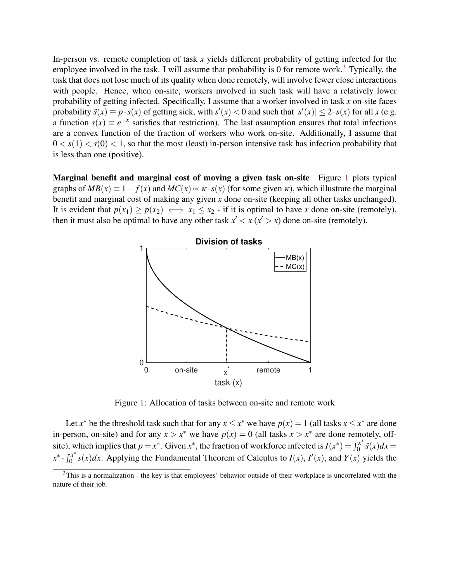In-person vs. remote completion of task *x* yields different probability of getting infected for the employee involved in the task. I will assume that probability is 0 for remote work.<sup>[3](#page-2-0)</sup> Typically, the task that does not lose much of its quality when done remotely, will involve fewer close interactions with people. Hence, when on-site, workers involved in such task will have a relatively lower probability of getting infected. Specifically, I assume that a worker involved in task *x* on-site faces probability  $\tilde{s}(x) \equiv p \cdot s(x)$  of getting sick, with  $s'(x) < 0$  and such that  $|s'(x)| \leq 2 \cdot s(x)$  for all *x* (e.g. a function  $s(x) \equiv e^{-x}$  satisfies that restriction). The last assumption ensures that total infections are a convex function of the fraction of workers who work on-site. Additionally, I assume that  $0 < s(1) < s(0) < 1$ , so that the most (least) in-person intensive task has infection probability that is less than one (positive).

Marginal benefit and marginal cost of moving a given task on-site Figure [1](#page-2-1) plots typical graphs of  $MB(x) \equiv 1 - f(x)$  and  $MC(x) \propto \kappa \cdot s(x)$  (for some given  $\kappa$ ), which illustrate the marginal benefit and marginal cost of making any given *x* done on-site (keeping all other tasks unchanged). It is evident that  $p(x_1) \geq p(x_2) \iff x_1 \leq x_2$  - if it is optimal to have *x* done on-site (remotely), then it must also be optimal to have any other task  $x' < x$  ( $x' > x$ ) done on-site (remotely).



<span id="page-2-1"></span>Figure 1: Allocation of tasks between on-site and remote work

Let *x*<sup>\*</sup> be the threshold task such that for any  $x \le x^*$  we have  $p(x) = 1$  (all tasks  $x \le x^*$  are done in-person, on-site) and for any  $x > x^*$  we have  $p(x) = 0$  (all tasks  $x > x^*$  are done remotely, offsite), which implies that  $p = x^*$ . Given  $x^*$ , the fraction of workforce infected is  $I(x^*) = \int_0^{x^*}$  $\int_0^x \tilde{s}(x)dx =$  $x^* \cdot \int_0^{x^*}$  $\int_0^{x^*} s(x) dx$ . Applying the Fundamental Theorem of Calculus to *I*(*x*), *I'*(*x*), and *Y*(*x*) yields the

<span id="page-2-0"></span> $3$ This is a normalization - the key is that employees' behavior outside of their workplace is uncorrelated with the nature of their job.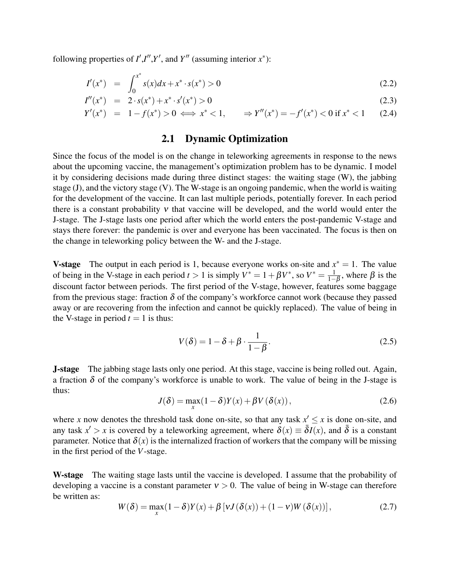following properties of  $I', I'', Y'$ , and  $Y''$  (assuming interior  $x^*$ ):

$$
I'(x^*) = \int_0^{x^*} s(x)dx + x^* \cdot s(x^*) > 0
$$
\n(2.2)

$$
I''(x^*) = 2 \cdot s(x^*) + x^* \cdot s'(x^*) > 0 \tag{2.3}
$$

$$
Y'(x^*) = 1 - f(x^*) > 0 \iff x^* < 1, \qquad \Rightarrow Y''(x^*) = -f'(x^*) < 0 \text{ if } x^* < 1 \tag{2.4}
$$

### 2.1 Dynamic Optimization

Since the focus of the model is on the change in teleworking agreements in response to the news about the upcoming vaccine, the management's optimization problem has to be dynamic. I model it by considering decisions made during three distinct stages: the waiting stage (W), the jabbing stage (J), and the victory stage (V). The W-stage is an ongoing pandemic, when the world is waiting for the development of the vaccine. It can last multiple periods, potentially forever. In each period there is a constant probability <sup>ν</sup> that vaccine will be developed, and the world would enter the J-stage. The J-stage lasts one period after which the world enters the post-pandemic V-stage and stays there forever: the pandemic is over and everyone has been vaccinated. The focus is then on the change in teleworking policy between the W- and the J-stage.

**V-stage** The output in each period is 1, because everyone works on-site and  $x^* = 1$ . The value of being in the V-stage in each period  $t > 1$  is simply  $V^* = 1 + \beta V^*$ , so  $V^* = \frac{1}{1 - \beta V}$  $\frac{1}{1-\beta}$ , where  $\beta$  is the discount factor between periods. The first period of the V-stage, however, features some baggage from the previous stage: fraction  $\delta$  of the company's workforce cannot work (because they passed away or are recovering from the infection and cannot be quickly replaced). The value of being in the V-stage in period  $t = 1$  is thus:

$$
V(\delta) = 1 - \delta + \beta \cdot \frac{1}{1 - \beta}.
$$
\n(2.5)

J-stage The jabbing stage lasts only one period. At this stage, vaccine is being rolled out. Again, a fraction  $\delta$  of the company's workforce is unable to work. The value of being in the J-stage is thus:

$$
J(\delta) = \max_{x} (1 - \delta) Y(x) + \beta V(\delta(x)), \qquad (2.6)
$$

where *x* now denotes the threshold task done on-site, so that any task  $x' \leq x$  is done on-site, and any task  $x' > x$  is covered by a teleworking agreement, where  $\delta(x) \equiv \overline{\delta I(x)}$ , and  $\overline{\delta}$  is a constant parameter. Notice that  $\delta(x)$  is the internalized fraction of workers that the company will be missing in the first period of the *V*-stage.

W-stage The waiting stage lasts until the vaccine is developed. I assume that the probability of developing a vaccine is a constant parameter  $v > 0$ . The value of being in W-stage can therefore be written as:

$$
W(\delta) = \max_{x} (1 - \delta)Y(x) + \beta \left[ \nu J(\delta(x)) + (1 - \nu) W(\delta(x)) \right],
$$
 (2.7)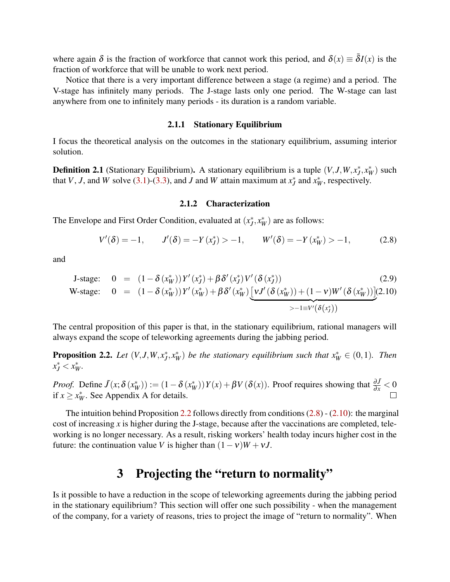where again  $\delta$  is the fraction of workforce that cannot work this period, and  $\delta(x) \equiv \overline{\delta}I(x)$  is the fraction of workforce that will be unable to work next period.

Notice that there is a very important difference between a stage (a regime) and a period. The V-stage has infinitely many periods. The J-stage lasts only one period. The W-stage can last anywhere from one to infinitely many periods - its duration is a random variable.

#### 2.1.1 Stationary Equilibrium

I focus the theoretical analysis on the outcomes in the stationary equilibrium, assuming interior solution.

**Definition 2.1** (Stationary Equilibrium). A stationary equilibrium is a tuple  $(V, J, W, x_J^*, x_W^*)$  such that *V*, *J*, and *W* solve [\(3.1\)](#page-5-0)-[\(3.3\)](#page-5-0), and *J* and *W* attain maximum at  $x_J^*$  and  $x_W^*$ , respectively.

#### 2.1.2 Characterization

The Envelope and First Order Condition, evaluated at  $(x_J^*, x_W^*)$  are as follows:

<span id="page-4-1"></span>
$$
V'(\delta) = -1, \qquad J'(\delta) = -Y(x_J^*) > -1, \qquad W'(\delta) = -Y(x_W^*) > -1,\tag{2.8}
$$

and

<span id="page-4-2"></span>
$$
\begin{array}{rcl}\n\text{J-stage:} & 0 & = & (1 - \delta(x_W^*)) Y'(x_J^*) + \beta \delta'(x_J^*) V'(\delta(x_J^*)) \\
\text{W-stage:} & 0 & = & (1 - \delta(x_W^*)) Y'(x_W^*) + \beta \delta'(x_W^*) \underbrace{\left[vJ'(\delta(x_W^*)) + (1 - v)W'(\delta(x_W^*))\right]}_{\geq -1 \equiv V'(\delta(x_J^*))} \\
& & & & \\
\text{W-stage:} & 0 & = & (1 - \delta(x_W^*)) Y'(x_W^*) + \beta \delta'(x_W^*) \underbrace{\left[vJ'(\delta(x_V^*)) + (1 - v)W'(\delta(x_W^*))\right]}_{\geq -1 \equiv V'(\delta(x_J^*))} \\
\text{W-stage:} & 0 & = & (1 - \delta(x_W^*)) Y'(x_W^*) + \beta \delta'(x_W^*) \underbrace{\left[vJ'(\delta(x_W^*)) + (1 - v)W'(\delta(x_W^*))\right]}_{\geq -1 \equiv V'(\delta(x_J^*))} \\
\text{W-stage:} & 0 & = & (1 - \delta(x_W^*)) Y'(x_W^*) + \beta \delta'(x_W^*) \underbrace{\left[vJ'(\delta(x_W^*)) + (1 - v)W'(\delta(x_W^*))\right]}_{\geq -1 \equiv V'(\delta(x_J^*))} \\
\text{Wiggs:} & 0 & = & (1 - \delta(x_W^*)) Y'(x_W^*) + \beta \delta'(x_W^*) \underbrace{\left[vJ'(\delta(x_W^*)) + (1 - v)W'(\delta(x_W^*))\right]}_{\geq -1 \equiv V'(\delta(x_J^*))} \\
\text{Wiggs:} & 0 & = & (1 - \delta(x_W^*)) Y'(x_W^*) + \beta \delta'(x_W^*) \underbrace{\left[vJ'(\delta(x_W^*)) + (1 - v)W'(\delta(x_W^*))\right]}_{\geq -1 \equiv V'(\delta(x_J^*))} \\
\text{Wiggs:} & 0 & = & (1 - \delta(x_W^*)) Y'(x_W^*) \\
\text{Wiggs:} & 0 & = & (1 - \delta(x_W^*)) Y'(x_W^*) \\
\text{Wiggs:} & 0 & = & (1 - \delta(x_W^*)) Y'(x_W^*) \\
\text{Wiggs:} & 0 & = & (1 - \
$$

The central proposition of this paper is that, in the stationary equilibrium, rational managers will always expand the scope of teleworking agreements during the jabbing period.

<span id="page-4-0"></span>**Proposition 2.2.** Let  $(V, J, W, x_J^*, x_W^*)$  be the stationary equilibrium such that  $x_W^* \in (0,1)$ . Then  $x_J^* < x_W^*$ .

*Proof.* Define  $\tilde{J}(x; \delta(x_W^*)) := (1 - \delta(x_W^*))Y(x) + \beta V(\delta(x))$ . Proof requires showing that  $\frac{\partial \tilde{J}}{\partial x} < 0$ if  $x \ge x_W^*$ . See Appendix A for details.

The intuition behind Proposition [2.2](#page-4-0) follows directly from conditions  $(2.8)$  -  $(2.10)$ : the marginal cost of increasing *x* is higher during the J-stage, because after the vaccinations are completed, teleworking is no longer necessary. As a result, risking workers' health today incurs higher cost in the future: the continuation value *V* is higher than  $(1 - v)W + vJ$ .

# 3 Projecting the "return to normality"

Is it possible to have a reduction in the scope of teleworking agreements during the jabbing period in the stationary equilibrium? This section will offer one such possibility - when the management of the company, for a variety of reasons, tries to project the image of "return to normality". When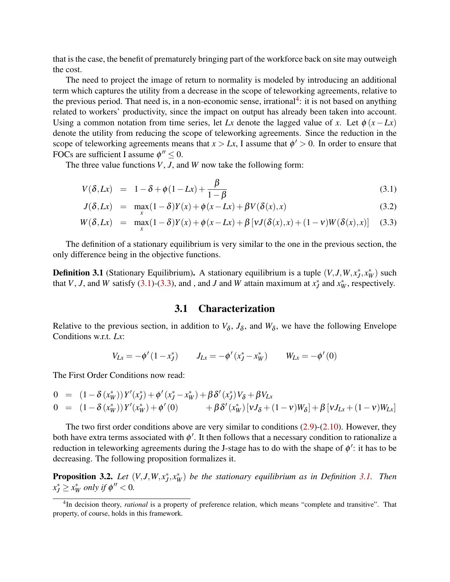that is the case, the benefit of prematurely bringing part of the workforce back on site may outweigh the cost.

The need to project the image of return to normality is modeled by introducing an additional term which captures the utility from a decrease in the scope of teleworking agreements, relative to the previous period. That need is, in a non-economic sense, irrational<sup>[4](#page-5-1)</sup>: it is not based on anything related to workers' productivity, since the impact on output has already been taken into account. Using a common notation from time series, let *Lx* denote the lagged value of *x*. Let  $\phi(x - Lx)$ denote the utility from reducing the scope of teleworking agreements. Since the reduction in the scope of teleworking agreements means that  $x > Lx$ , I assume that  $\phi' > 0$ . In order to ensure that FOCs are sufficient I assume  $\phi'' \leq 0$ .

The three value functions *V*, *J*, and *W* now take the following form:

<span id="page-5-0"></span>
$$
V(\delta, Lx) = 1 - \delta + \phi(1 - Lx) + \frac{\beta}{1 - \beta} \tag{3.1}
$$

$$
J(\delta, Lx) = \max_{x} (1 - \delta)Y(x) + \phi(x - Lx) + \beta V(\delta(x), x)
$$
\n(3.2)

$$
W(\delta, Lx) = \max_{x} (1 - \delta)Y(x) + \phi(x - Lx) + \beta \left[ vJ(\delta(x), x) + (1 - v)W(\delta(x), x) \right] \tag{3.3}
$$

The definition of a stationary equilibrium is very similar to the one in the previous section, the only difference being in the objective functions.

<span id="page-5-2"></span>**Definition 3.1** (Stationary Equilibrium). A stationary equilibrium is a tuple  $(V, J, W, x_J^*, x_W^*)$  such that *V*, *J*, and *W* satisfy [\(3.1\)](#page-5-0)-[\(3.3\)](#page-5-0), and, and *J* and *W* attain maximum at  $x_J^*$  and  $x_W^*$ , respectively.

### 3.1 Characterization

Relative to the previous section, in addition to  $V_{\delta}$ ,  $J_{\delta}$ , and  $W_{\delta}$ , we have the following Envelope Conditions w.r.t. *Lx*:

$$
V_{Lx} = -\phi'(1 - x_J^*) \qquad J_{Lx} = -\phi'(x_J^* - x_W^*) \qquad W_{Lx} = -\phi'(0)
$$

The First Order Conditions now read:

$$
0 = (1 - \delta(x_W^*)) Y'(x_J^*) + \phi'(x_J^* - x_W^*) + \beta \delta'(x_J^*) V_{\delta} + \beta V_{Lx}
$$
  
\n
$$
0 = (1 - \delta(x_W^*)) Y'(x_W^*) + \phi'(0) + \beta \delta'(x_W^*) [\nu J_{\delta} + (1 - \nu)W_{\delta}] + \beta [\nu J_{Lx} + (1 - \nu)W_{Lx}]
$$

The two first order conditions above are very similar to conditions [\(2.9\)](#page-4-2)-[\(2.10\)](#page-4-2). However, they both have extra terms associated with  $\phi'$ . It then follows that a necessary condition to rationalize a reduction in teleworking agreements during the J-stage has to do with the shape of  $\phi'$ : it has to be decreasing. The following proposition formalizes it.

<span id="page-5-3"></span>**Proposition 3.2.** Let  $(V, J, W, x_J^*, x_W^*)$  be the stationary equilibrium as in Definition [3.1.](#page-5-2) Then  $x_J^* \geq x_W^*$  *only if*  $\phi'' < 0$ *.* 

<span id="page-5-1"></span><sup>&</sup>lt;sup>4</sup>In decision theory, *rational* is a property of preference relation, which means "complete and transitive". That property, of course, holds in this framework.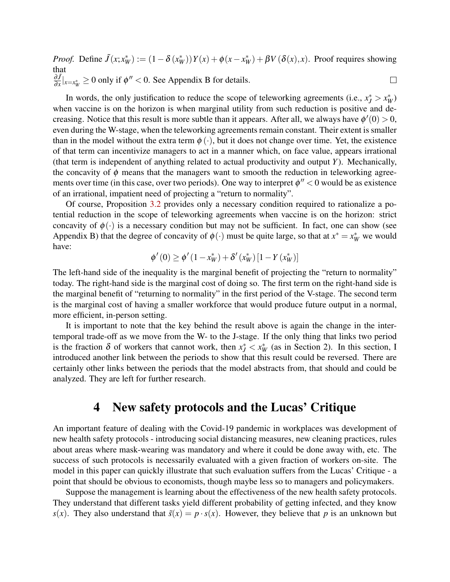*Proof.* Define  $\tilde{J}(x; x^*_{W}) := (1 - \delta(x^*_{W}))Y(x) + \phi(x - x^*_{W}) + \beta V(\delta(x), x)$ . Proof requires showing that ∂ *J*˜  $\frac{\partial J}{\partial x}|_{x=x^*_{W}} \ge 0$  only if  $\phi'' < 0$ . See Appendix B for details.  $\Box$ 

In words, the only justification to reduce the scope of teleworking agreements (i.e.,  $x_J^* > x_W^*$ ) when vaccine is on the horizon is when marginal utility from such reduction is positive and decreasing. Notice that this result is more subtle than it appears. After all, we always have  $\phi'(0) > 0$ , even during the W-stage, when the teleworking agreements remain constant. Their extent is smaller than in the model without the extra term  $\phi(\cdot)$ , but it does not change over time. Yet, the existence of that term can incentivize managers to act in a manner which, on face value, appears irrational (that term is independent of anything related to actual productivity and output *Y*). Mechanically, the concavity of  $\phi$  means that the managers want to smooth the reduction in teleworking agreements over time (in this case, over two periods). One way to interpret  $\phi'' < 0$  would be as existence of an irrational, impatient need of projecting a "return to normality".

Of course, Proposition [3.2](#page-5-3) provides only a necessary condition required to rationalize a potential reduction in the scope of teleworking agreements when vaccine is on the horizon: strict concavity of  $\phi(\cdot)$  is a necessary condition but may not be sufficient. In fact, one can show (see Appendix B) that the degree of concavity of  $\phi(\cdot)$  must be quite large, so that at  $x^* = x^*_{W}$  we would have:

$$
\phi'(0) \ge \phi'(1 - x_W^*) + \delta'(x_W^*)\left[1 - Y(x_W^*)\right]
$$

The left-hand side of the inequality is the marginal benefit of projecting the "return to normality" today. The right-hand side is the marginal cost of doing so. The first term on the right-hand side is the marginal benefit of "returning to normality" in the first period of the V-stage. The second term is the marginal cost of having a smaller workforce that would produce future output in a normal, more efficient, in-person setting.

It is important to note that the key behind the result above is again the change in the intertemporal trade-off as we move from the W- to the J-stage. If the only thing that links two period is the fraction  $\delta$  of workers that cannot work, then  $x_J^* < x_W^*$  (as in Section 2). In this section, I introduced another link between the periods to show that this result could be reversed. There are certainly other links between the periods that the model abstracts from, that should and could be analyzed. They are left for further research.

### 4 New safety protocols and the Lucas' Critique

An important feature of dealing with the Covid-19 pandemic in workplaces was development of new health safety protocols - introducing social distancing measures, new cleaning practices, rules about areas where mask-wearing was mandatory and where it could be done away with, etc. The success of such protocols is necessarily evaluated with a given fraction of workers on-site. The model in this paper can quickly illustrate that such evaluation suffers from the Lucas' Critique - a point that should be obvious to economists, though maybe less so to managers and policymakers.

Suppose the management is learning about the effectiveness of the new health safety protocols. They understand that different tasks yield different probability of getting infected, and they know *s*(*x*). They also understand that  $\tilde{s}(x) = p \cdot s(x)$ . However, they believe that *p* is an unknown but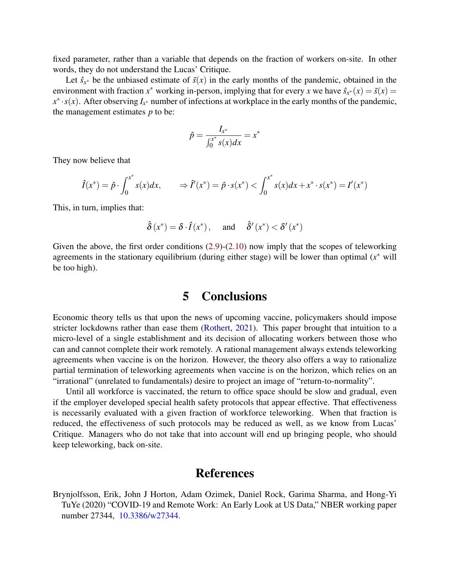fixed parameter, rather than a variable that depends on the fraction of workers on-site. In other words, they do not understand the Lucas' Critique.

Let  $\hat{s}_{x^*}$  be the unbiased estimate of  $\tilde{s}(x)$  in the early months of the pandemic, obtained in the environment with fraction  $x^*$  working in-person, implying that for every  $x$  we have  $\hat{s}_{x^*}(x) = \tilde{s}(x)$  $x^* \cdot s(x)$ . After observing  $I_{x^*}$  number of infections at workplace in the early months of the pandemic, the management estimates *p* to be:

$$
\hat{p} = \frac{I_{x^*}}{\int_0^{x^*} s(x) dx} = x^*
$$

They now believe that

$$
\hat{I}(x^*) = \hat{p} \cdot \int_0^{x^*} s(x) dx, \qquad \Rightarrow \hat{I}'(x^*) = \hat{p} \cdot s(x^*) < \int_0^{x^*} s(x) dx + x^* \cdot s(x^*) = I'(x^*)
$$

This, in turn, implies that:

$$
\hat{\delta}(x^*) = \delta \cdot \hat{I}(x^*), \quad \text{ and } \quad \hat{\delta}'(x^*) < \delta'(x^*)
$$

Given the above, the first order conditions  $(2.9)-(2.10)$  $(2.9)-(2.10)$  $(2.9)-(2.10)$  now imply that the scopes of teleworking agreements in the stationary equilibrium (during either stage) will be lower than optimal (*x* <sup>∗</sup> will be too high).

# 5 Conclusions

Economic theory tells us that upon the news of upcoming vaccine, policymakers should impose stricter lockdowns rather than ease them [\(Rothert,](#page-8-3) [2021\)](#page-8-3). This paper brought that intuition to a micro-level of a single establishment and its decision of allocating workers between those who can and cannot complete their work remotely. A rational management always extends teleworking agreements when vaccine is on the horizon. However, the theory also offers a way to rationalize partial termination of teleworking agreements when vaccine is on the horizon, which relies on an "irrational" (unrelated to fundamentals) desire to project an image of "return-to-normality".

Until all workforce is vaccinated, the return to office space should be slow and gradual, even if the employer developed special health safety protocols that appear effective. That effectiveness is necessarily evaluated with a given fraction of workforce teleworking. When that fraction is reduced, the effectiveness of such protocols may be reduced as well, as we know from Lucas' Critique. Managers who do not take that into account will end up bringing people, who should keep teleworking, back on-site.

# **References**

<span id="page-7-0"></span>Brynjolfsson, Erik, John J Horton, Adam Ozimek, Daniel Rock, Garima Sharma, and Hong-Yi TuYe (2020) "COVID-19 and Remote Work: An Early Look at US Data," NBER working paper number 27344, [10.3386/w27344.](http://dx.doi.org/10.3386/w27344)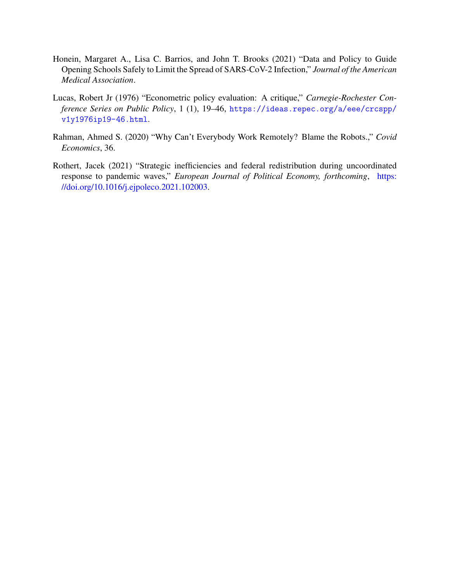- <span id="page-8-1"></span>Honein, Margaret A., Lisa C. Barrios, and John T. Brooks (2021) "Data and Policy to Guide Opening Schools Safely to Limit the Spread of SARS-CoV-2 Infection," *Journal of the American Medical Association*.
- <span id="page-8-2"></span>Lucas, Robert Jr (1976) "Econometric policy evaluation: A critique," *Carnegie-Rochester Conference Series on Public Policy*, 1 (1), 19–46, [https://ideas.repec.org/a/eee/crcspp/](https://ideas.repec.org/a/eee/crcspp/v1y1976ip19-46.html) [v1y1976ip19-46.html](https://ideas.repec.org/a/eee/crcspp/v1y1976ip19-46.html).
- <span id="page-8-0"></span>Rahman, Ahmed S. (2020) "Why Can't Everybody Work Remotely? Blame the Robots.," *Covid Economics*, 36.
- <span id="page-8-3"></span>Rothert, Jacek (2021) "Strategic inefficiencies and federal redistribution during uncoordinated response to pandemic waves," *European Journal of Political Economy, forthcoming*, [https:](http://dx.doi.org/https://doi.org/10.1016/j.ejpoleco.2021.102003) [//doi.org/10.1016/j.ejpoleco.2021.102003.](http://dx.doi.org/https://doi.org/10.1016/j.ejpoleco.2021.102003)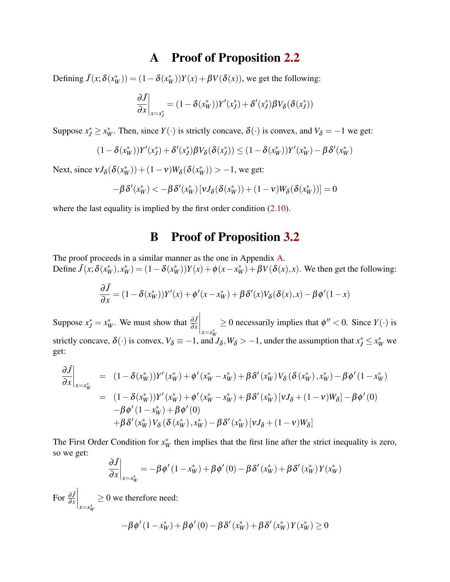# A Proof of Proposition [2.2](#page-4-0)

<span id="page-9-0"></span>Defining  $\tilde{J}(x; \delta(x^*_{W})) = (1 - \delta(x^*_{W}))Y(x) + \beta V(\delta(x))$ , we get the following:

$$
\left. \frac{\partial \tilde{J}}{\partial x} \right|_{x=x_J^*} = (1 - \delta(x_W^*)) Y'(x_J^*) + \delta'(x_J^*) \beta V_{\delta}(\delta(x_J^*))
$$

Suppose  $x_j^* \ge x_W^*$ . Then, since  $Y(\cdot)$  is strictly concave,  $\delta(\cdot)$  is convex, and  $V_\delta = -1$  we get:

$$
(1 - \delta(x_W^*))Y'(x_J^*) + \delta'(x_J^*)\beta V_{\delta}(\delta(x_J^*)) \le (1 - \delta(x_W^*))Y'(x_W^*) - \beta \delta'(x_W^*)
$$

Next, since  $vJ_{\delta}(\delta(x_W^*)) + (1 - v)W_{\delta}(\delta(x_W^*)) > -1$ , we get:

$$
-\beta \delta'(x_W^*) < -\beta \delta'(x_W^*) \left[v J_\delta(\delta(x_W^*)) + (1-v) W_\delta(\delta(x_W^*))\right] = 0
$$

where the last equality is implied by the first order condition  $(2.10)$ .

# B Proof of Proposition [3.2](#page-5-3)

The proof proceeds in a similar manner as the one in Appendix [A.](#page-9-0) Define  $\tilde{J}(x; \delta(x^*_{W}), x^*_{W}) = (1 - \delta(x^*_{W}))Y(x) + \phi(x - x^*_{W}) + \beta V(\delta(x), x)$ . We then get the following:

$$
\frac{\partial \tilde{J}}{\partial x} = (1 - \delta(x_W^*))Y'(x) + \phi'(x - x_W^*) + \beta \delta'(x)V_\delta(\delta(x), x) - \beta \phi'(1 - x)
$$

Suppose  $x_J^* = x_W^*$ . We must show that  $\frac{\partial J}{\partial x}$  $\bigg|$ <sub>*x*=*x*<sup>\*</sup>*w*</sub>  $\geq 0$  necessarily implies that  $\phi'' < 0$ . Since  $Y(\cdot)$  is strictly concave,  $\delta(\cdot)$  is convex,  $V_{\delta} \equiv -1$ , and  $J_{\delta}$ ,  $W_{\delta} > -1$ , under the assumption that  $x_J^* \le x_W^*$  we get:

$$
\frac{\partial \tilde{J}}{\partial x}\Big|_{x=x_W^*} = (1 - \delta(x_W^*))Y'(x_W^*) + \phi'(x_W^* - x_W^*) + \beta \delta'(x_W^*)V_{\delta}(\delta(x_W^*), x_W^*) - \beta \phi'(1 - x_W^*)
$$
  
\n
$$
= (1 - \delta(x_W^*))Y'(x_W^*) + \phi'(x_W^* - x_W^*) + \beta \delta'(x_W^*)[vJ_{\delta} + (1 - v)W_{\delta}] - \beta \phi'(0)
$$
  
\n
$$
- \beta \phi'(1 - x_W^*) + \beta \phi'(0)
$$
  
\n
$$
+ \beta \delta'(x_W^*)V_{\delta}(\delta(x_W^*), x_W^*) - \beta \delta'(x_W^*)[vJ_{\delta} + (1 - v)W_{\delta}]
$$

The First Order Condition for  $x^*_{W}$  then implies that the first line after the strict inequality is zero, so we get:

$$
\frac{\partial \tilde{J}}{\partial x}\bigg|_{x=x_W^*} = -\beta \phi'(1-x_W^*) + \beta \phi'(0) - \beta \delta'(x_W^*) + \beta \delta'(x_W^*) Y(x_W^*)
$$

For  $\frac{\partial \tilde{J}}{\partial x}$  $\left| \int_{x=x_{W}^{*}}\right|$  $\geq$  0 we therefore need:

$$
-\beta \phi'(1 - x_W^*) + \beta \phi'(0) - \beta \delta'(x_W^*) + \beta \delta'(x_W^*) Y(x_W^*) \ge 0
$$